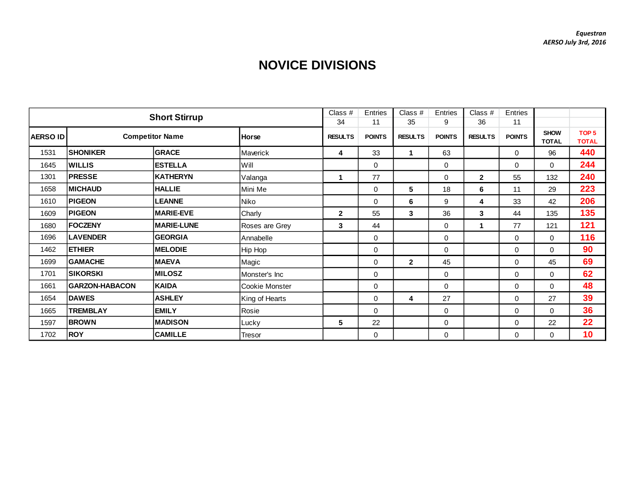## **NOVICE DIVISIONS**

|          |                        |                      | Class #        | Entries        | Class #       | Entries        | Class $#$     | Entries        |               |                             |                                  |
|----------|------------------------|----------------------|----------------|----------------|---------------|----------------|---------------|----------------|---------------|-----------------------------|----------------------------------|
|          |                        | <b>Short Stirrup</b> |                | 34             | 11            | 35             | 9             | 36             | 11            |                             |                                  |
| AERSO ID | <b>Competitor Name</b> |                      | <b>Horse</b>   | <b>RESULTS</b> | <b>POINTS</b> | <b>RESULTS</b> | <b>POINTS</b> | <b>RESULTS</b> | <b>POINTS</b> | <b>SHOW</b><br><b>TOTAL</b> | TOP <sub>5</sub><br><b>TOTAL</b> |
| 1531     | <b>SHONIKER</b>        | <b>GRACE</b>         | Maverick       | 4              | 33            | 1              | 63            |                | $\mathbf 0$   | 96                          | 440                              |
| 1645     | <b>WILLIS</b>          | <b>ESTELLA</b>       | Will           |                | $\mathbf 0$   |                | 0             |                | $\mathbf 0$   | $\mathbf{0}$                | 244                              |
| 1301     | <b>PRESSE</b>          | <b>KATHERYN</b>      | Valanga        |                | 77            |                | 0             | $\overline{2}$ | 55            | 132                         | 240                              |
| 1658     | <b>IMICHAUD</b>        | <b>HALLIE</b>        | Mini Me        |                | 0             | 5              | 18            | 6              | 11            | 29                          | 223                              |
| 1610     | <b>PIGEON</b>          | <b>LEANNE</b>        | Niko           |                | $\Omega$      | 6              | 9             | 4              | 33            | 42                          | 206                              |
| 1609     | <b>PIGEON</b>          | <b>MARIE-EVE</b>     | Charly         | $\mathbf{2}$   | 55            | 3              | 36            | 3              | 44            | 135                         | 135                              |
| 1680     | FOCZENY                | <b>MARIE-LUNE</b>    | Roses are Grey | 3              | 44            |                | 0             | $\mathbf 1$    | 77            | 121                         | 121                              |
| 1696     | <b>LAVENDER</b>        | <b>GEORGIA</b>       | Annabelle      |                | 0             |                | 0             |                | 0             | $\mathbf 0$                 | 116                              |
| 1462     | <b>ETHIER</b>          | <b>MELODIE</b>       | Hip Hop        |                | $\mathbf 0$   |                | 0             |                | 0             | $\Omega$                    | 90                               |
| 1699     | <b>GAMACHE</b>         | <b>MAEVA</b>         | Magic          |                | $\Omega$      | $\mathbf{2}$   | 45            |                | $\Omega$      | 45                          | 69                               |
| 1701     | <b>SIKORSKI</b>        | <b>MILOSZ</b>        | Monster's Inc  |                | 0             |                | 0             |                | $\mathbf 0$   | $\Omega$                    | 62                               |
| 1661     | <b>GARZON-HABACON</b>  | <b>KAIDA</b>         | Cookie Monster |                | $\mathbf 0$   |                | $\mathbf 0$   |                | $\mathbf 0$   | $\Omega$                    | 48                               |
| 1654     | <b>DAWES</b>           | <b>ASHLEY</b>        | King of Hearts |                | $\mathbf 0$   | 4              | 27            |                | $\mathbf 0$   | 27                          | 39                               |
| 1665     | <b>TREMBLAY</b>        | <b>EMILY</b>         | Rosie          |                | $\mathbf 0$   |                | 0             |                | $\mathbf 0$   | $\mathbf 0$                 | 36                               |
| 1597     | <b>BROWN</b>           | <b>MADISON</b>       | Lucky          | 5              | 22            |                | 0             |                | $\mathbf 0$   | 22                          | 22                               |
| 1702     | <b>ROY</b>             | <b>CAMILLE</b>       | Tresor         |                | 0             |                | 0             |                | $\mathbf 0$   | $\Omega$                    | 10                               |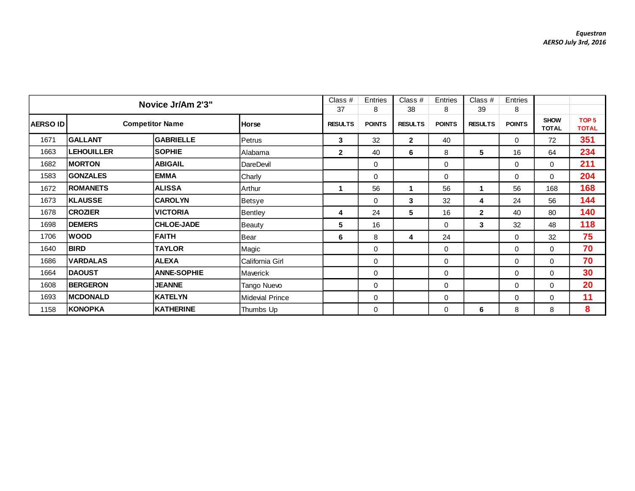|                 |                        | Novice Jr/Am 2'3"  |                      | Class $#$          | <b>Entries</b>       | Class $#$          | Entries              | Class $#$          | Entries                     |                                  |     |
|-----------------|------------------------|--------------------|----------------------|--------------------|----------------------|--------------------|----------------------|--------------------|-----------------------------|----------------------------------|-----|
| <b>AERSO ID</b> | <b>Competitor Name</b> | <b>Horse</b>       | 37<br><b>RESULTS</b> | 8<br><b>POINTS</b> | 38<br><b>RESULTS</b> | 8<br><b>POINTS</b> | 39<br><b>RESULTS</b> | 8<br><b>POINTS</b> | <b>SHOW</b><br><b>TOTAL</b> | TOP <sub>5</sub><br><b>TOTAL</b> |     |
| 1671            | <b>GALLANT</b>         | <b>GABRIELLE</b>   | Petrus               | 3                  | 32                   | $\mathbf{2}$       | 40                   |                    | $\mathbf 0$                 | 72                               | 351 |
| 1663            | <b>LEHOUILLER</b>      | <b>SOPHIE</b>      | Alabama              | $\overline{2}$     | 40                   | 6                  | 8                    | 5                  | 16                          | 64                               | 234 |
| 1682            | <b>IMORTON</b>         | <b>ABIGAIL</b>     | DareDevil            |                    | 0                    |                    | 0                    |                    | $\mathbf 0$                 | $\Omega$                         | 211 |
| 1583            | <b>GONZALES</b>        | <b>EMMA</b>        | Charly               |                    | 0                    |                    | 0                    |                    | $\mathbf 0$                 | $\Omega$                         | 204 |
| 1672            | <b>ROMANETS</b>        | <b>ALISSA</b>      | Arthur               | 1                  | 56                   | 1                  | 56                   | 1                  | 56                          | 168                              | 168 |
| 1673            | <b>KLAUSSE</b>         | <b>CAROLYN</b>     | Betsye               |                    | 0                    | $\mathbf{3}$       | 32                   | 4                  | 24                          | 56                               | 144 |
| 1678            | <b>CROZIER</b>         | <b>VICTORIA</b>    | Bentley              | 4                  | 24                   | 5                  | 16                   | $\mathbf{2}$       | 40                          | 80                               | 140 |
| 1698            | <b>DEMERS</b>          | <b>CHLOE-JADE</b>  | <b>Beauty</b>        | 5                  | 16                   |                    | 0                    | 3                  | 32                          | 48                               | 118 |
| 1706            | <b>WOOD</b>            | <b>FAITH</b>       | Bear                 | 6                  | 8                    | 4                  | 24                   |                    | $\mathbf 0$                 | 32                               | 75  |
| 1640            | <b>BIRD</b>            | <b>TAYLOR</b>      | Magic                |                    | $\Omega$             |                    | 0                    |                    | $\Omega$                    | $\Omega$                         | 70  |
| 1686            | <b>VARDALAS</b>        | <b>ALEXA</b>       | California Girl      |                    | $\mathbf 0$          |                    | 0                    |                    | $\mathbf 0$                 | $\Omega$                         | 70  |
| 1664            | <b>DAOUST</b>          | <b>ANNE-SOPHIE</b> | Maverick             |                    | $\mathbf 0$          |                    | 0                    |                    | $\mathbf 0$                 | $\Omega$                         | 30  |
| 1608            | <b>BERGERON</b>        | <b>JEANNE</b>      | Tango Nuevo          |                    | $\mathbf 0$          |                    | 0                    |                    | $\mathbf 0$                 | 0                                | 20  |
| 1693            | <b>MCDONALD</b>        | KATELYN            | Midevial Prince      |                    | 0                    |                    | 0                    |                    | $\Omega$                    | $\Omega$                         | 11  |
| 1158            | KONOPKA                | <b>KATHERINE</b>   | Thumbs Up            |                    | 0                    |                    | 0                    | 6                  | 8                           | 8                                | 8   |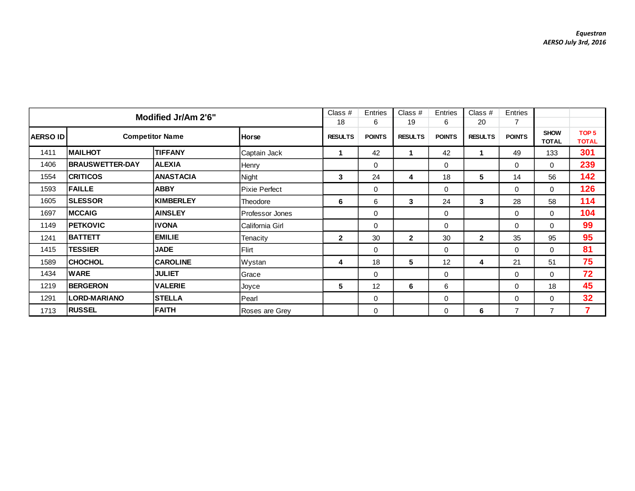|                 | Modified Jr/Am 2'6"    |                        |                      |                |               | Class $#$      | Entries       | Class $#$      | Entries        |                             |                                  |
|-----------------|------------------------|------------------------|----------------------|----------------|---------------|----------------|---------------|----------------|----------------|-----------------------------|----------------------------------|
|                 |                        |                        |                      | 18             | 6             | 19             | 6             | 20             |                |                             |                                  |
| <b>AERSO ID</b> |                        | <b>Competitor Name</b> | <b>Horse</b>         | <b>RESULTS</b> | <b>POINTS</b> | <b>RESULTS</b> | <b>POINTS</b> | <b>RESULTS</b> | <b>POINTS</b>  | <b>SHOW</b><br><b>TOTAL</b> | TOP <sub>5</sub><br><b>TOTAL</b> |
| 1411            | <b>MAILHOT</b>         | <b>TIFFANY</b>         | Captain Jack         |                | 42            |                | 42            | 1              | 49             | 133                         | 301                              |
| 1406            | <b>BRAUSWETTER-DAY</b> | <b>ALEXIA</b>          | Henry                |                | 0             |                | 0             |                | 0              | $\mathbf 0$                 | 239                              |
| 1554            | <b>CRITICOS</b>        | <b>ANASTACIA</b>       | Night                | 3              | 24            | 4              | 18            | 5              | 14             | 56                          | 142                              |
| 1593            | <b>FAILLE</b>          | <b>ABBY</b>            | <b>Pixie Perfect</b> |                | 0             |                | 0             |                | 0              | $\mathbf{0}$                | 126                              |
| 1605            | <b>SLESSOR</b>         | <b>KIMBERLEY</b>       | Theodore             | 6              | 6             | 3              | 24            | 3              | 28             | 58                          | 114                              |
| 1697            | <b>IMCCAIG</b>         | <b>AINSLEY</b>         | Professor Jones      |                | 0             |                | 0             |                | 0              | $\mathbf 0$                 | 104                              |
| 1149            | <b>PETKOVIC</b>        | <b>IVONA</b>           | California Girl      |                | 0             |                | 0             |                | 0              | $\mathbf 0$                 | 99                               |
| 1241            | <b>BATTETT</b>         | <b>EMILIE</b>          | Tenacity             | $\mathbf{2}$   | 30            | $\mathbf{2}$   | 30            | $\mathbf{2}$   | 35             | 95                          | 95                               |
| 1415            | <b>TESSIER</b>         | <b>JADE</b>            | Flirt                |                | $\Omega$      |                | 0             |                | 0              | $\mathbf 0$                 | 81                               |
| 1589            | <b>CHOCHOL</b>         | <b>CAROLINE</b>        | Wystan               | 4              | 18            | 5              | 12            | 4              | 21             | 51                          | 75                               |
| 1434            | <b>WARE</b>            | <b>JULIET</b>          | Grace                |                | $\mathbf 0$   |                | 0             |                | 0              | $\mathbf 0$                 | 72                               |
| 1219            | <b>BERGERON</b>        | <b>VALERIE</b>         | Joyce                | 5              | 12            | 6              | 6             |                | 0              | 18                          | 45                               |
| 1291            | <b>LORD-MARIANO</b>    | <b>STELLA</b>          | Pearl                |                | 0             |                | 0             |                | 0              | 0                           | 32                               |
| 1713            | <b>RUSSEL</b>          | <b>FAITH</b>           | Roses are Grey       |                | $\mathbf 0$   |                | 0             | 6              | $\overline{7}$ | $\overline{7}$              | $\overline{7}$                   |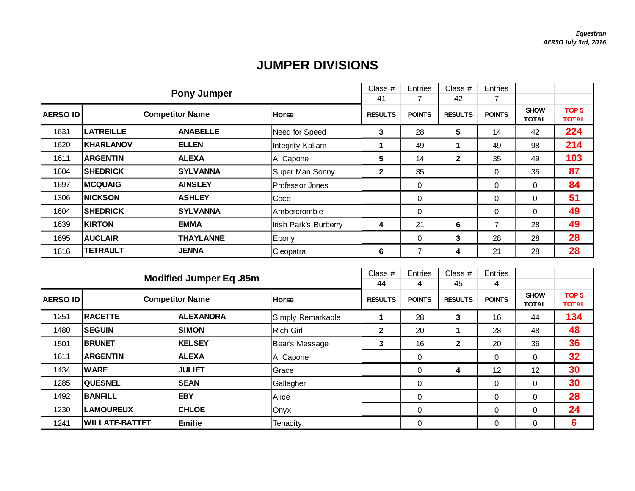## **JUMPER DIVISIONS**

|                  |                  | <b>Pony Jumper</b>     |                        | Class #        | <b>Entries</b> | Class $#$      | Entries       |                             |                                  |
|------------------|------------------|------------------------|------------------------|----------------|----------------|----------------|---------------|-----------------------------|----------------------------------|
|                  |                  |                        | 41                     |                | 42             |                |               |                             |                                  |
| <b>AERSO IDI</b> |                  | <b>Competitor Name</b> | <b>Horse</b>           | <b>RESULTS</b> | <b>POINTS</b>  | <b>RESULTS</b> | <b>POINTS</b> | <b>SHOW</b><br><b>TOTAL</b> | TOP <sub>5</sub><br><b>TOTAL</b> |
| 1631             | <b>LATREILLE</b> | <b>ANABELLE</b>        | Need for Speed         | 3              | 28             | 5              | 14            | 42                          | 224                              |
| 1620             | <b>KHARLANOV</b> | <b>ELLEN</b>           | Integrity Kallam       |                | 49             |                | 49            | 98                          | 214                              |
| 1611             | <b>ARGENTIN</b>  | <b>ALEXA</b>           | Al Capone              | 5              | 14             | $\mathbf{2}$   | 35            | 49                          | 103                              |
| 1604             | <b>ISHEDRICK</b> | <b>SYLVANNA</b>        | Super Man Sonny        | $\mathbf{2}$   | 35             |                | 0             | 35                          | 87                               |
| 1697             | <b>MCQUAIG</b>   | <b>AINSLEY</b>         | <b>Professor Jones</b> |                | 0              |                | 0             | $\Omega$                    | 84                               |
| 1306             | <b>NICKSON</b>   | <b>ASHLEY</b>          | Coco                   |                | 0              |                | 0             | 0                           | 51                               |
| 1604             | <b>SHEDRICK</b>  | <b>SYLVANNA</b>        | Ambercrombie           |                | $\Omega$       |                | 0             | $\Omega$                    | 49                               |
| 1639             | <b>KIRTON</b>    | <b>EMMA</b>            | Irish Park's Burberry  | 4              | 21             | 6              | 7             | 28                          | 49                               |
| 1695             | <b>AUCLAIR</b>   | <b>THAYLANNE</b>       | Ebony                  |                | 0              | 3              | 28            | 28                          | 28                               |
| 1616             | <b>TETRAULT</b>  | <b>JENNA</b>           | Cleopatra              | 6              | 7              | 4              | 21            | 28                          | 28                               |

|                 | <b>Modified Jumper Eq. 85m</b> |                  |                   |                |               | Class #        | Entries       |                      |                                  |
|-----------------|--------------------------------|------------------|-------------------|----------------|---------------|----------------|---------------|----------------------|----------------------------------|
|                 |                                |                  |                   | 44             | 4             | 45             | 4             |                      |                                  |
| <b>AERSO ID</b> | <b>Competitor Name</b>         |                  | <b>Horse</b>      | <b>RESULTS</b> | <b>POINTS</b> | <b>RESULTS</b> | <b>POINTS</b> | <b>SHOW</b><br>TOTAL | TOP <sub>5</sub><br><b>TOTAL</b> |
| 1251            | <b>RACETTE</b>                 | <b>ALEXANDRA</b> | Simply Remarkable |                | 28            | 3              | 16            | 44                   | 134                              |
| 1480            | <b>SEGUIN</b>                  | <b>SIMON</b>     | <b>Rich Girl</b>  | $\mathbf{2}$   | 20            |                | 28            | 48                   | 48                               |
| 1501            | <b>BRUNET</b>                  | KELSEY           | Bear's Message    | 3              | 16            | $\mathbf{2}$   | 20            | 36                   | 36                               |
| 1611            | <b>ARGENTIN</b>                | <b>ALEXA</b>     | Al Capone         |                | 0             |                | 0             | 0                    | 32                               |
| 1434            | <b>WARE</b>                    | <b>JULIET</b>    | Grace             |                | 0             | 4              | 12            | 12                   | 30                               |
| 1285            | <b>QUESNEL</b>                 | <b>SEAN</b>      | Gallagher         |                | 0             |                | $\mathbf 0$   | 0                    | 30                               |
| 1492            | <b>BANFILL</b>                 | <b>EBY</b>       | Alice             |                | $\Omega$      |                | $\mathbf 0$   | 0                    | 28                               |
| 1230            | <b>LAMOUREUX</b>               | <b>CHLOE</b>     | Onyx              |                | $\Omega$      |                | $\mathbf 0$   | $\Omega$             | 24                               |
| 1241            | WILLATE-BATTET                 | Emilie           | Tenacity          |                | 0             |                | $\mathbf 0$   | $\Omega$             | 6                                |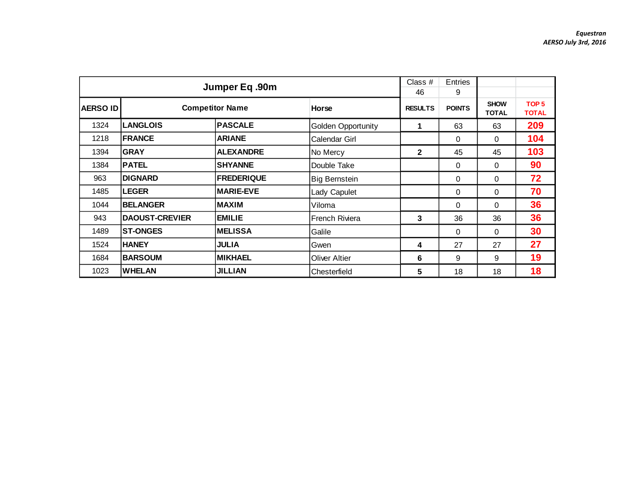|                 |                       | Jumper Eq.90m          |                           | Class #<br>46  | <b>Entries</b><br>9 |                             |                                  |
|-----------------|-----------------------|------------------------|---------------------------|----------------|---------------------|-----------------------------|----------------------------------|
| <b>AERSO ID</b> |                       | <b>Competitor Name</b> | Horse                     | <b>RESULTS</b> | <b>POINTS</b>       | <b>SHOW</b><br><b>TOTAL</b> | TOP <sub>5</sub><br><b>TOTAL</b> |
| 1324            | <b>LANGLOIS</b>       | <b>PASCALE</b>         | <b>Golden Opportunity</b> | 1              | 63                  | 63                          | 209                              |
| 1218            | <b>IFRANCE</b>        | <b>ARIANE</b>          | Calendar Girl             |                | 0                   | 0                           | 104                              |
| 1394            | <b>GRAY</b>           | <b>ALEXANDRE</b>       | No Mercy                  | $\mathbf{2}$   | 45                  | 45                          | 103                              |
| 1384            | <b>PATEL</b>          | <b>SHYANNE</b>         | Double Take               |                | 0                   | 0                           | 90                               |
| 963             | <b>DIGNARD</b>        | <b>IFREDERIQUE</b>     | <b>Big Bernstein</b>      |                | 0                   | $\Omega$                    | 72                               |
| 1485            | <b>LEGER</b>          | <b>MARIE-EVE</b>       | Lady Capulet              |                | $\Omega$            | $\Omega$                    | 70                               |
| 1044            | <b>BELANGER</b>       | IMAXIM                 | Viloma                    |                | $\Omega$            | $\Omega$                    | 36                               |
| 943             | <b>DAOUST-CREVIER</b> | <b>EMILIE</b>          | French Riviera            | 3              | 36                  | 36                          | 36                               |
| 1489            | <b>ST-ONGES</b>       | <b>MELISSA</b>         | Galile                    |                | 0                   | 0                           | 30                               |
| 1524            | <b>HANEY</b>          | <b>JULIA</b>           | Gwen                      | 4              | 27                  | 27                          | 27                               |
| 1684            | <b>BARSOUM</b>        | <b>MIKHAEL</b>         | <b>Oliver Altier</b>      | 6              | 9                   | 9                           | 19                               |
| 1023            | <b>IWHELAN</b>        | <b>JILLIAN</b>         | Chesterfield              | 5              | 18                  | 18                          | 18                               |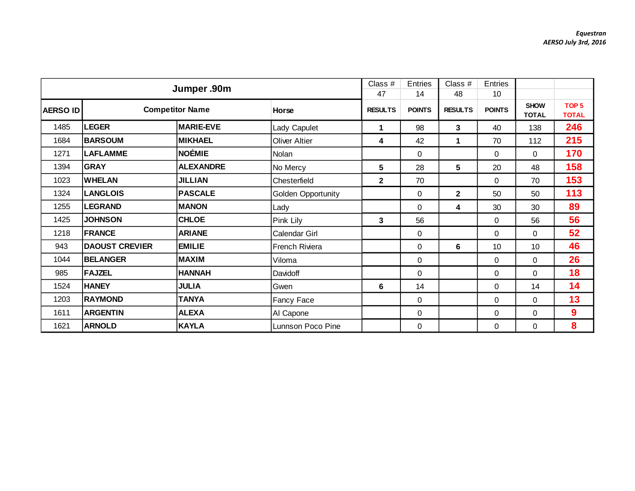|                 |                       | Jumper .90m            |                      | Class #<br>47  | <b>Entries</b><br>14 | Class #<br>48  | Entries<br>10 |                             |                                  |
|-----------------|-----------------------|------------------------|----------------------|----------------|----------------------|----------------|---------------|-----------------------------|----------------------------------|
| <b>AERSO ID</b> |                       | <b>Competitor Name</b> |                      | <b>RESULTS</b> | <b>POINTS</b>        | <b>RESULTS</b> | <b>POINTS</b> | <b>SHOW</b><br><b>TOTAL</b> | TOP <sub>5</sub><br><b>TOTAL</b> |
| 1485            | <b>LEGER</b>          | <b>MARIE-EVE</b>       | <b>Lady Capulet</b>  | 1              | 98                   | 3              | 40            | 138                         | 246                              |
| 1684            | <b>BARSOUM</b>        | <b>MIKHAEL</b>         | <b>Oliver Altier</b> | 4              | 42                   | 1              | 70            | 112                         | 215                              |
| 1271            | <b>LAFLAMME</b>       | NOÉMIE                 | Nolan                |                | 0                    |                | 0             | 0                           | 170                              |
| 1394            | <b>GRAY</b>           | <b>ALEXANDRE</b>       | No Mercy             | 5              | 28                   | 5              | 20            | 48                          | 158                              |
| 1023            | <b>WHELAN</b>         | <b>JILLIAN</b>         | Chesterfield         | $\mathbf{2}$   | 70                   |                | $\Omega$      | 70                          | 153                              |
| 1324            | <b>LANGLOIS</b>       | <b>PASCALE</b>         | Golden Opportunity   |                | 0                    | $\mathbf{2}$   | 50            | 50                          | 113                              |
| 1255            | <b>LEGRAND</b>        | <b>MANON</b>           | Lady                 |                | 0                    | 4              | 30            | 30                          | 89                               |
| 1425            | <b>JOHNSON</b>        | <b>CHLOE</b>           | Pink Lily            | 3              | 56                   |                | 0             | 56                          | 56                               |
| 1218            | FRANCE                | <b>ARIANE</b>          | Calendar Girl        |                | 0                    |                | 0             | 0                           | 52                               |
| 943             | <b>DAOUST CREVIER</b> | <b>EMILIE</b>          | French Riviera       |                | 0                    | 6              | 10            | 10                          | 46                               |
| 1044            | <b>BELANGER</b>       | <b>MAXIM</b>           | Viloma               |                | 0                    |                | 0             | $\mathbf{0}$                | 26                               |
| 985             | <b>FAJZEL</b>         | <b>HANNAH</b>          | Davidoff             |                | 0                    |                | 0             | 0                           | 18                               |
| 1524            | <b>HANEY</b>          | <b>JULIA</b>           | Gwen                 | 6              | 14                   |                | 0             | 14                          | 14                               |
| 1203            | <b>RAYMOND</b>        | <b>TANYA</b>           | <b>Fancy Face</b>    |                | 0                    |                | 0             | $\Omega$                    | 13                               |
| 1611            | <b>ARGENTIN</b>       | <b>ALEXA</b>           | Al Capone            |                | 0                    |                | 0             | $\Omega$                    | 9                                |
| 1621            | <b>ARNOLD</b>         | <b>KAYLA</b>           | Lunnson Poco Pine    |                | 0                    |                | 0             | 0                           | 8                                |